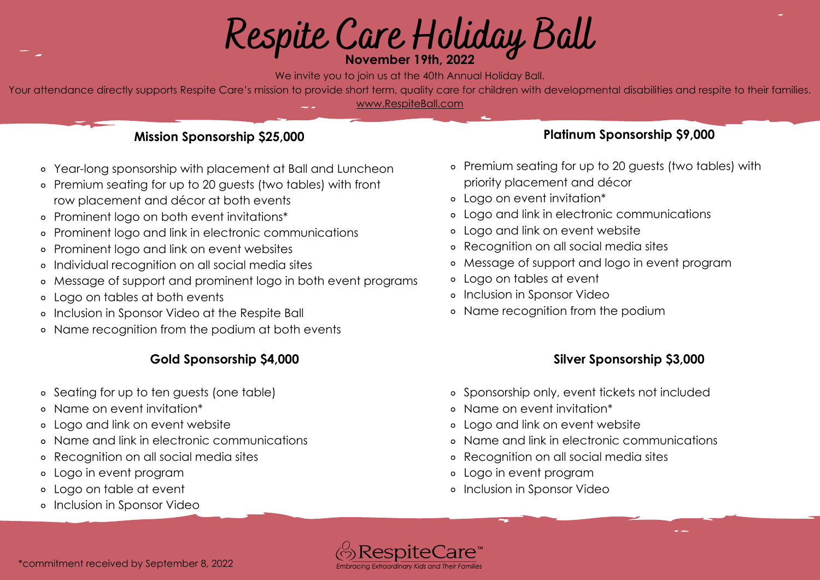# **Respite Care Holiday Ball November 19th, 2022**

We invite you to join us at the 40th Annual Holiday Ball.

Your attendance directly supports Respite Care's mission to provide short term, quality care for children with developmental disabilities and respite to their families. [www.RespiteBall.com](http://www.respiteball.com/)

#### **Mission Sponsorship \$25,000**

- Year-long sponsorship with placement at Ball and Luncheon
- Premium seating for up to 20 guests (two tables) with front row placement and décor at both events
- Prominent logo on both event invitations\*
- Prominent logo and link in electronic communications  $\circ$
- Prominent logo and link on event websites  $\circ$
- Individual recognition on all social media sites  $\circ$
- Message of support and prominent logo in both event programs
- Logo on tables at both events
- Inclusion in Sponsor Video at the Respite Ball
- Name recognition from the podium at both events

# **Gold Sponsorship \$4,000**

- Seating for up to ten guests (one table)
- Name on event invitation\*  $\circ$
- Logo and link on event website  $\circ$
- Name and link in electronic communications  $\circ$
- Recognition on all social media sites  $\circ$
- Logo in event program  $\circ$
- Logo on table at event
- o Inclusion in Sponsor Video

## **Platinum Sponsorship \$9,000**

- Premium seating for up to 20 guests (two tables) with priority placement and décor
- Logo on event invitation\*
- Logo and link in electronic communications
- Logo and link on event website
- Recognition on all social media sites
- Message of support and logo in event program  $\circ$
- Logo on tables at event
- Inclusion in Sponsor Video
- Name recognition from the podium

### **Silver Sponsorship \$3,000**

- Sponsorship only, event tickets not included
- Name on event invitation\*
- Logo and link on event website
- Name and link in electronic communications
- Recognition on all social media sites
- Logo in event program
- Inclusion in Sponsor Video